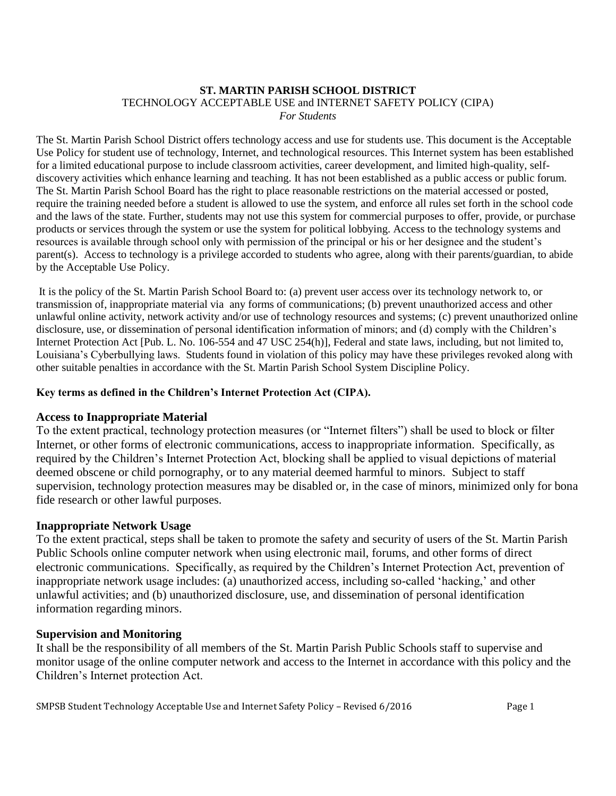#### **ST. MARTIN PARISH SCHOOL DISTRICT** TECHNOLOGY ACCEPTABLE USE and INTERNET SAFETY POLICY (CIPA) *For Students*

The St. Martin Parish School District offers technology access and use for students use. This document is the Acceptable Use Policy for student use of technology, Internet, and technological resources. This Internet system has been established for a limited educational purpose to include classroom activities, career development, and limited high-quality, selfdiscovery activities which enhance learning and teaching. It has not been established as a public access or public forum. The St. Martin Parish School Board has the right to place reasonable restrictions on the material accessed or posted, require the training needed before a student is allowed to use the system, and enforce all rules set forth in the school code and the laws of the state. Further, students may not use this system for commercial purposes to offer, provide, or purchase products or services through the system or use the system for political lobbying. Access to the technology systems and resources is available through school only with permission of the principal or his or her designee and the student's parent(s). Access to technology is a privilege accorded to students who agree, along with their parents/guardian, to abide by the Acceptable Use Policy.

It is the policy of the St. Martin Parish School Board to: (a) prevent user access over its technology network to, or transmission of, inappropriate material via any forms of communications; (b) prevent unauthorized access and other unlawful online activity, network activity and/or use of technology resources and systems; (c) prevent unauthorized online disclosure, use, or dissemination of personal identification information of minors; and (d) comply with the Children's Internet Protection Act [Pub. L. No. 106-554 and 47 USC 254(h)], Federal and state laws, including, but not limited to, Louisiana's Cyberbullying laws. Students found in violation of this policy may have these privileges revoked along with other suitable penalties in accordance with the St. Martin Parish School System Discipline Policy.

# **Key terms as defined in the Children's Internet Protection Act (CIPA).**

# **Access to Inappropriate Material**

To the extent practical, technology protection measures (or "Internet filters") shall be used to block or filter Internet, or other forms of electronic communications, access to inappropriate information. Specifically, as required by the Children's Internet Protection Act, blocking shall be applied to visual depictions of material deemed obscene or child pornography, or to any material deemed harmful to minors. Subject to staff supervision, technology protection measures may be disabled or, in the case of minors, minimized only for bona fide research or other lawful purposes.

# **Inappropriate Network Usage**

To the extent practical, steps shall be taken to promote the safety and security of users of the St. Martin Parish Public Schools online computer network when using electronic mail, forums, and other forms of direct electronic communications. Specifically, as required by the Children's Internet Protection Act, prevention of inappropriate network usage includes: (a) unauthorized access, including so-called 'hacking,' and other unlawful activities; and (b) unauthorized disclosure, use, and dissemination of personal identification information regarding minors.

## **Supervision and Monitoring**

It shall be the responsibility of all members of the St. Martin Parish Public Schools staff to supervise and monitor usage of the online computer network and access to the Internet in accordance with this policy and the Children's Internet protection Act.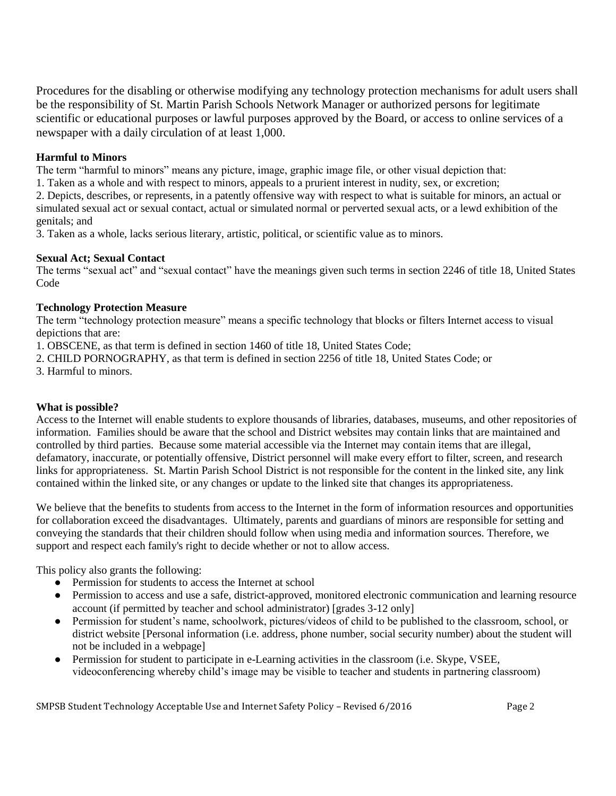Procedures for the disabling or otherwise modifying any technology protection mechanisms for adult users shall be the responsibility of St. Martin Parish Schools Network Manager or authorized persons for legitimate scientific or educational purposes or lawful purposes approved by the Board, or access to online services of a newspaper with a daily circulation of at least 1,000.

# **Harmful to Minors**

The term "harmful to minors" means any picture, image, graphic image file, or other visual depiction that:

1. Taken as a whole and with respect to minors, appeals to a prurient interest in nudity, sex, or excretion;

2. Depicts, describes, or represents, in a patently offensive way with respect to what is suitable for minors, an actual or simulated sexual act or sexual contact, actual or simulated normal or perverted sexual acts, or a lewd exhibition of the genitals; and

3. Taken as a whole, lacks serious literary, artistic, political, or scientific value as to minors.

#### **Sexual Act; Sexual Contact**

The terms "sexual act" and "sexual contact" have the meanings given such terms in section 2246 of title 18, United States Code

#### **Technology Protection Measure**

The term "technology protection measure" means a specific technology that blocks or filters Internet access to visual depictions that are:

1. OBSCENE, as that term is defined in section 1460 of title 18, United States Code;

- 2. CHILD PORNOGRAPHY, as that term is defined in section 2256 of title 18, United States Code; or
- 3. Harmful to minors.

## **What is possible?**

Access to the Internet will enable students to explore thousands of libraries, databases, museums, and other repositories of information. Families should be aware that the school and District websites may contain links that are maintained and controlled by third parties. Because some material accessible via the Internet may contain items that are illegal, defamatory, inaccurate, or potentially offensive, District personnel will make every effort to filter, screen, and research links for appropriateness. St. Martin Parish School District is not responsible for the content in the linked site, any link contained within the linked site, or any changes or update to the linked site that changes its appropriateness.

We believe that the benefits to students from access to the Internet in the form of information resources and opportunities for collaboration exceed the disadvantages. Ultimately, parents and guardians of minors are responsible for setting and conveying the standards that their children should follow when using media and information sources. Therefore, we support and respect each family's right to decide whether or not to allow access.

This policy also grants the following:

- Permission for students to access the Internet at school
- Permission to access and use a safe, district-approved, monitored electronic communication and learning resource account (if permitted by teacher and school administrator) [grades 3-12 only]
- Permission for student's name, schoolwork, pictures/videos of child to be published to the classroom, school, or district website [Personal information (i.e. address, phone number, social security number) about the student will not be included in a webpage]
- Permission for student to participate in e-Learning activities in the classroom (i.e. Skype, VSEE, videoconferencing whereby child's image may be visible to teacher and students in partnering classroom)

SMPSB Student Technology Acceptable Use and Internet Safety Policy – Revised 6/2016 Page 2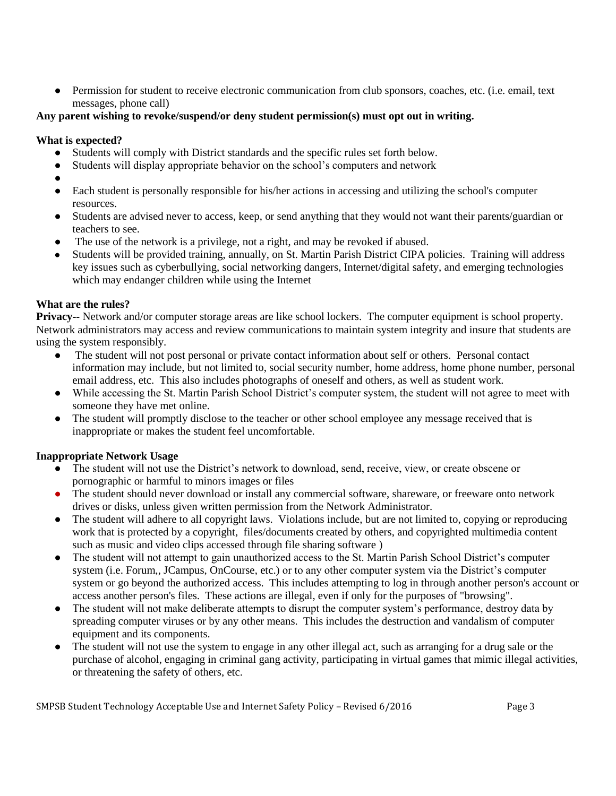• Permission for student to receive electronic communication from club sponsors, coaches, etc. (i.e. email, text messages, phone call)

## **Any parent wishing to revoke/suspend/or deny student permission(s) must opt out in writing.**

#### **What is expected?**

- Students will comply with District standards and the specific rules set forth below.
- Students will display appropriate behavior on the school's computers and network
- ●
- Each student is personally responsible for his/her actions in accessing and utilizing the school's computer resources.
- Students are advised never to access, keep, or send anything that they would not want their parents/guardian or teachers to see.
- The use of the network is a privilege, not a right, and may be revoked if abused.
- Students will be provided training, annually, on St. Martin Parish District CIPA policies. Training will address key issues such as cyberbullying, social networking dangers, Internet/digital safety, and emerging technologies which may endanger children while using the Internet

## **What are the rules?**

**Privacy--** Network and/or computer storage areas are like school lockers. The computer equipment is school property. Network administrators may access and review communications to maintain system integrity and insure that students are using the system responsibly.

- The student will not post personal or private contact information about self or others. Personal contact information may include, but not limited to, social security number, home address, home phone number, personal email address, etc. This also includes photographs of oneself and others, as well as student work.
- While accessing the St. Martin Parish School District's computer system, the student will not agree to meet with someone they have met online.
- The student will promptly disclose to the teacher or other school employee any message received that is inappropriate or makes the student feel uncomfortable.

## **Inappropriate Network Usage**

- The student will not use the District's network to download, send, receive, view, or create obscene or pornographic or harmful to minors images or files
- The student should never download or install any commercial software, shareware, or freeware onto network drives or disks, unless given written permission from the Network Administrator.
- The student will adhere to all copyright laws. Violations include, but are not limited to, copying or reproducing work that is protected by a copyright, files/documents created by others, and copyrighted multimedia content such as music and video clips accessed through file sharing software )
- The student will not attempt to gain unauthorized access to the St. Martin Parish School District's computer system (i.e. Forum,, JCampus, OnCourse, etc.) or to any other computer system via the District's computer system or go beyond the authorized access. This includes attempting to log in through another person's account or access another person's files. These actions are illegal, even if only for the purposes of "browsing".
- The student will not make deliberate attempts to disrupt the computer system's performance, destroy data by spreading computer viruses or by any other means. This includes the destruction and vandalism of computer equipment and its components.
- The student will not use the system to engage in any other illegal act, such as arranging for a drug sale or the purchase of alcohol, engaging in criminal gang activity, participating in virtual games that mimic illegal activities, or threatening the safety of others, etc.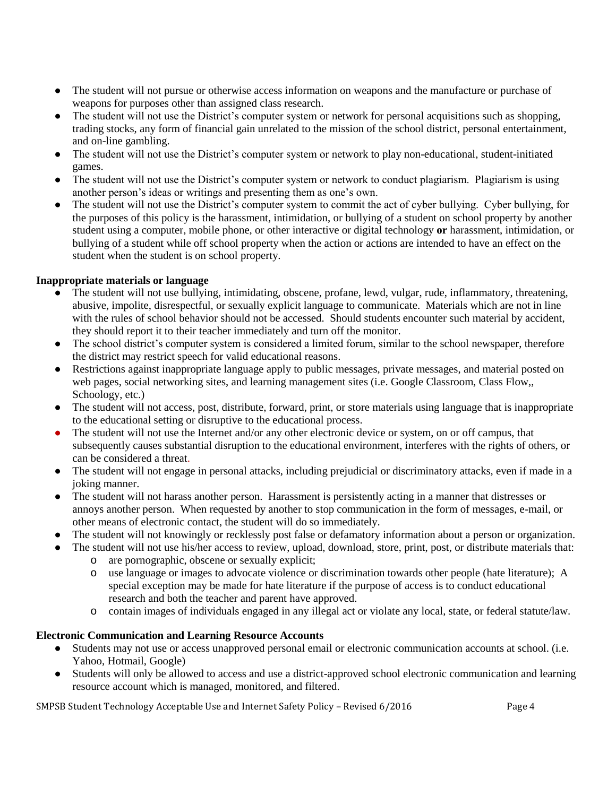- The student will not pursue or otherwise access information on weapons and the manufacture or purchase of weapons for purposes other than assigned class research.
- The student will not use the District's computer system or network for personal acquisitions such as shopping, trading stocks, any form of financial gain unrelated to the mission of the school district, personal entertainment, and on-line gambling.
- The student will not use the District's computer system or network to play non-educational, student-initiated games.
- The student will not use the District's computer system or network to conduct plagiarism. Plagiarism is using another person's ideas or writings and presenting them as one's own.
- The student will not use the District's computer system to commit the act of cyber bullying. Cyber bullying, for the purposes of this policy is the harassment, intimidation, or bullying of a student on school property by another student using a computer, mobile phone, or other interactive or digital technology **or** harassment, intimidation, or bullying of a student while off school property when the action or actions are intended to have an effect on the student when the student is on school property.

## **Inappropriate materials or language**

- The student will not use bullying, intimidating, obscene, profane, lewd, vulgar, rude, inflammatory, threatening, abusive, impolite, disrespectful, or sexually explicit language to communicate. Materials which are not in line with the rules of school behavior should not be accessed. Should students encounter such material by accident, they should report it to their teacher immediately and turn off the monitor.
- The school district's computer system is considered a limited forum, similar to the school newspaper, therefore the district may restrict speech for valid educational reasons.
- Restrictions against inappropriate language apply to public messages, private messages, and material posted on web pages, social networking sites, and learning management sites (i.e. Google Classroom, Class Flow,, Schoology, etc.)
- The student will not access, post, distribute, forward, print, or store materials using language that is inappropriate to the educational setting or disruptive to the educational process.
- The student will not use the Internet and/or any other electronic device or system, on or off campus, that subsequently causes substantial disruption to the educational environment, interferes with the rights of others, or can be considered a threat.
- The student will not engage in personal attacks, including prejudicial or discriminatory attacks, even if made in a joking manner.
- The student will not harass another person. Harassment is persistently acting in a manner that distresses or annoys another person. When requested by another to stop communication in the form of messages, e-mail, or other means of electronic contact, the student will do so immediately.
- The student will not knowingly or recklessly post false or defamatory information about a person or organization.
- The student will not use his/her access to review, upload, download, store, print, post, or distribute materials that:
	- o are pornographic, obscene or sexually explicit;
	- o use language or images to advocate violence or discrimination towards other people (hate literature); A special exception may be made for hate literature if the purpose of access is to conduct educational research and both the teacher and parent have approved.
	- o contain images of individuals engaged in any illegal act or violate any local, state, or federal statute/law.

## **Electronic Communication and Learning Resource Accounts**

- Students may not use or access unapproved personal email or electronic communication accounts at school. (i.e. Yahoo, Hotmail, Google)
- Students will only be allowed to access and use a district-approved school electronic communication and learning resource account which is managed, monitored, and filtered.

SMPSB Student Technology Acceptable Use and Internet Safety Policy – Revised 6/2016 Page 4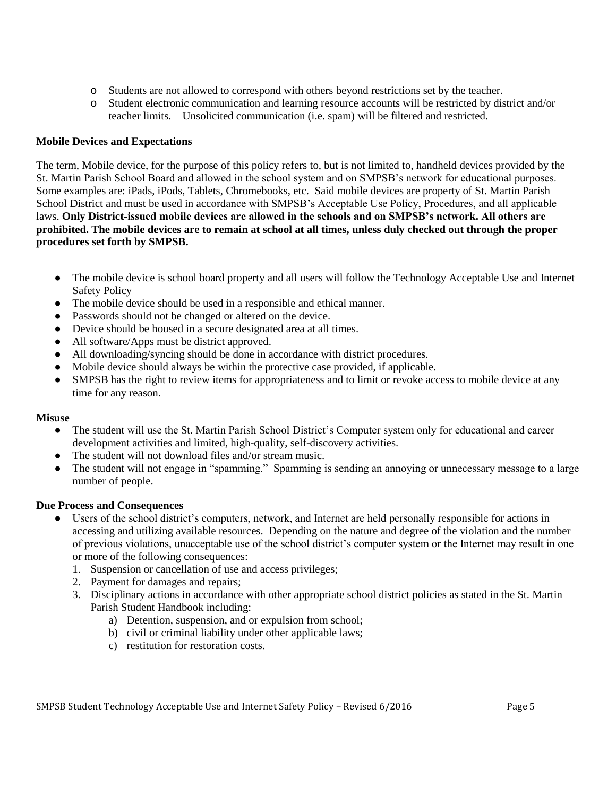- o Students are not allowed to correspond with others beyond restrictions set by the teacher.
- o Student electronic communication and learning resource accounts will be restricted by district and/or teacher limits. Unsolicited communication (i.e. spam) will be filtered and restricted.

#### **Mobile Devices and Expectations**

The term, Mobile device, for the purpose of this policy refers to, but is not limited to, handheld devices provided by the St. Martin Parish School Board and allowed in the school system and on SMPSB's network for educational purposes. Some examples are: iPads, iPods, Tablets, Chromebooks, etc. Said mobile devices are property of St. Martin Parish School District and must be used in accordance with SMPSB's Acceptable Use Policy, Procedures, and all applicable laws. **Only District-issued mobile devices are allowed in the schools and on SMPSB's network. All others are prohibited. The mobile devices are to remain at school at all times, unless duly checked out through the proper procedures set forth by SMPSB.** 

- The mobile device is school board property and all users will follow the Technology Acceptable Use and Internet Safety Policy
- The mobile device should be used in a responsible and ethical manner.
- Passwords should not be changed or altered on the device.
- Device should be housed in a secure designated area at all times.
- All software/Apps must be district approved.
- All downloading/syncing should be done in accordance with district procedures.
- Mobile device should always be within the protective case provided, if applicable.
- SMPSB has the right to review items for appropriateness and to limit or revoke access to mobile device at any time for any reason.

#### **Misuse**

- The student will use the St. Martin Parish School District's Computer system only for educational and career development activities and limited, high-quality, self-discovery activities.
- The student will not download files and/or stream music.
- The student will not engage in "spamming." Spamming is sending an annoying or unnecessary message to a large number of people.

## **Due Process and Consequences**

- Users of the school district's computers, network, and Internet are held personally responsible for actions in accessing and utilizing available resources. Depending on the nature and degree of the violation and the number of previous violations, unacceptable use of the school district's computer system or the Internet may result in one or more of the following consequences:
	- 1. Suspension or cancellation of use and access privileges;
	- 2. Payment for damages and repairs;
	- 3. Disciplinary actions in accordance with other appropriate school district policies as stated in the St. Martin Parish Student Handbook including:
		- a) Detention, suspension, and or expulsion from school;
		- b) civil or criminal liability under other applicable laws;
		- c) restitution for restoration costs.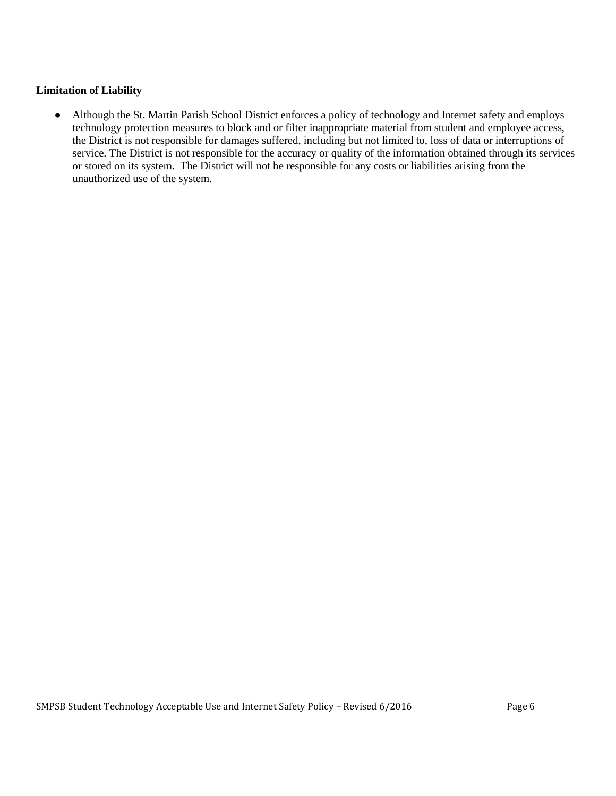#### **Limitation of Liability**

● Although the St. Martin Parish School District enforces a policy of technology and Internet safety and employs technology protection measures to block and or filter inappropriate material from student and employee access, the District is not responsible for damages suffered, including but not limited to, loss of data or interruptions of service. The District is not responsible for the accuracy or quality of the information obtained through its services or stored on its system. The District will not be responsible for any costs or liabilities arising from the unauthorized use of the system.